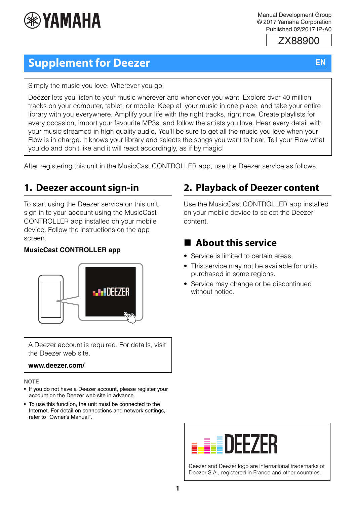

Manual Development Group © 2017 Yamaha Corporation Published 02/2017 IP-A0

ZX88900

# **EN**

# **Supplement for Deezer**

Simply the music you love. Wherever you go.

Deezer lets you listen to your music wherever and whenever you want. Explore over 40 million tracks on your computer, tablet, or mobile. Keep all your music in one place, and take your entire library with you everywhere. Amplify your life with the right tracks, right now. Create playlists for every occasion, import your favourite MP3s, and follow the artists you love. Hear every detail with your music streamed in high quality audio. You'll be sure to get all the music you love when your Flow is in charge. It knows your library and selects the songs you want to hear. Tell your Flow what you do and don't like and it will react accordingly, as if by magic!

After registering this unit in the MusicCast CONTROLLER app, use the Deezer service as follows.

# **1. Deezer account sign-in**

To start using the Deezer service on this unit, sign in to your account using the MusicCast CONTROLLER app installed on your mobile device. Follow the instructions on the app screen.

#### **MusicCast CONTROLLER app**



A Deezer account is required. For details, visit the Deezer web site.

#### **www.deezer.com/**

#### **NOTE**

- If you do not have a Deezer account, please register your account on the Deezer web site in advance.
- To use this function, the unit must be connected to the Internet. For detail on connections and network settings, refer to "Owner's Manual".

# **2. Playback of Deezer content**

Use the MusicCast CONTROLLER app installed on your mobile device to select the Deezer content.

# **About this service**

- Service is limited to certain areas.
- This service may not be available for units purchased in some regions.
- Service may change or be discontinued without notice.



Deezer and Deezer logo are international trademarks of Deezer S.A., registered in France and other countries.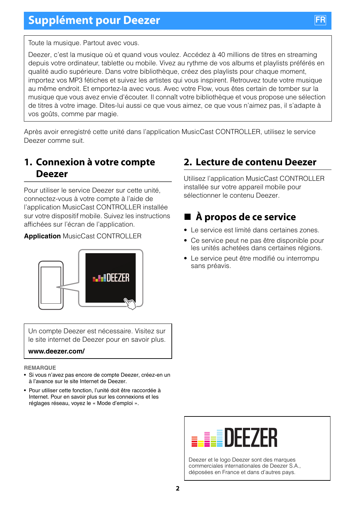Toute la musique. Partout avec vous.

Deezer, c'est la musique où et quand vous voulez. Accédez à 40 millions de titres en streaming depuis votre ordinateur, tablette ou mobile. Vivez au rythme de vos albums et playlists préférés en qualité audio supérieure. Dans votre bibliothèque, créez des playlists pour chaque moment, importez vos MP3 fétiches et suivez les artistes qui vous inspirent. Retrouvez toute votre musique au même endroit. Et emportez-la avec vous. Avec votre Flow, vous êtes certain de tomber sur la musique que vous avez envie d'écouter. Il connaît votre bibliothèque et vous propose une sélection de titres à votre image. Dites-lui aussi ce que vous aimez, ce que vous n'aimez pas, il s'adapte à vos goûts, comme par magie.

Après avoir enregistré cette unité dans l'application MusicCast CONTROLLER, utilisez le service Deezer comme suit.

### **1. Connexion à votre compte Deezer**

Pour utiliser le service Deezer sur cette unité, connectez-vous à votre compte à l'aide de l'application MusicCast CONTROLLER installée sur votre dispositif mobile. Suivez les instructions affichées sur l'écran de l'application.

**Application** MusicCast CONTROLLER



Un compte Deezer est nécessaire. Visitez sur le site internet de Deezer pour en savoir plus.

#### **www.deezer.com/**

**REMARQUE**

- Si vous n'avez pas encore de compte Deezer, créez-en un à l'avance sur le site Internet de Deezer.
- Pour utiliser cette fonction, l'unité doit être raccordée à Internet. Pour en savoir plus sur les connexions et les réglages réseau, voyez le « Mode d'emploi ».

# **2. Lecture de contenu Deezer**

Utilisez l'application MusicCast CONTROLLER installée sur votre appareil mobile pour sélectionner le contenu Deezer.

# **À propos de ce service**

- Le service est limité dans certaines zones.
- Ce service peut ne pas être disponible pour les unités achetées dans certaines régions.
- Le service peut être modifié ou interrompu sans préavis.



Deezer et le logo Deezer sont des marques commerciales internationales de Deezer S.A., déposées en France et dans d'autres pays.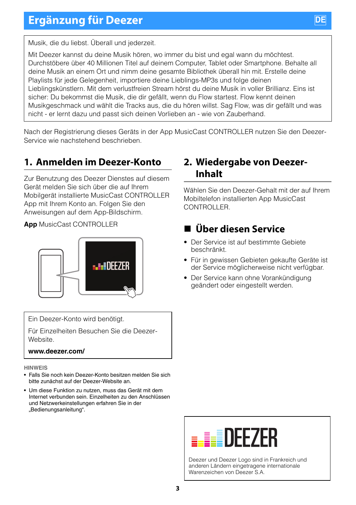# **Ergänzung für Deezer**



Musik, die du liebst. Überall und jederzeit.

Mit Deezer kannst du deine Musik hören, wo immer du bist und egal wann du möchtest. Durchstöbere über 40 Millionen Titel auf deinem Computer, Tablet oder Smartphone. Behalte all deine Musik an einem Ort und nimm deine gesamte Bibliothek überall hin mit. Erstelle deine Playlists für jede Gelegenheit, importiere deine Lieblings-MP3s und folge deinen Lieblingskünstlern. Mit dem verlustfreien Stream hörst du deine Musik in voller Brillianz. Eins ist sicher: Du bekommst die Musik, die dir gefällt, wenn du Flow startest. Flow kennt deinen Musikgeschmack und wählt die Tracks aus, die du hören willst. Sag Flow, was dir gefällt und was nicht - er lernt dazu und passt sich deinen Vorlieben an - wie von Zauberhand.

Nach der Registrierung dieses Geräts in der App MusicCast CONTROLLER nutzen Sie den Deezer-Service wie nachstehend beschrieben.

### **1. Anmelden im Deezer-Konto**

Zur Benutzung des Deezer Dienstes auf diesem Gerät melden Sie sich über die auf Ihrem Mobilgerät installierte MusicCast CONTROLLER App mit Ihrem Konto an. Folgen Sie den Anweisungen auf dem App-Bildschirm.

**App** MusicCast CONTROLLER



Ein Deezer-Konto wird benötigt.

Für Einzelheiten Besuchen Sie die Deezer-Website.

#### **www.deezer.com/**

**HINWEIS**

- Falls Sie noch kein Deezer-Konto besitzen melden Sie sich bitte zunächst auf der Deezer-Website an.
- Um diese Funktion zu nutzen, muss das Gerät mit dem Internet verbunden sein. Einzelheiten zu den Anschlüssen und Netzwerkeinstellungen erfahren Sie in der "Bedienungsanleitung".

### **2. Wiedergabe von Deezer-Inhalt**

Wählen Sie den Deezer-Gehalt mit der auf Ihrem Mobiltelefon installierten App MusicCast CONTROLLER.

# **Über diesen Service**

- Der Service ist auf bestimmte Gebiete beschränkt.
- Für in gewissen Gebieten gekaufte Geräte ist der Service möglicherweise nicht verfügbar.
- Der Service kann ohne Vorankündigung geändert oder eingestellt werden.



Deezer und Deezer Logo sind in Frankreich und anderen Ländern eingetragene internationale Warenzeichen von Deezer S.A.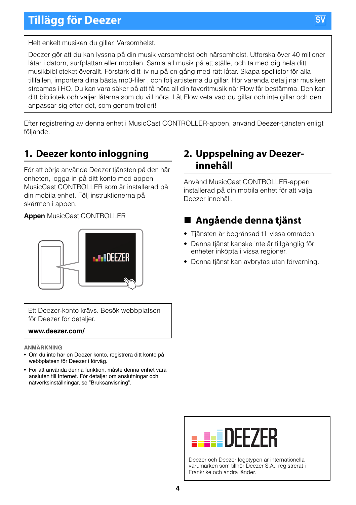

Helt enkelt musiken du gillar. Varsomhelst.

Deezer gör att du kan lyssna på din musik varsomhelst och närsomhelst. Utforska över 40 miljoner låtar i datorn, surfplattan eller mobilen. Samla all musik på ett ställe, och ta med dig hela ditt musikbiblioteket överallt. Förstärk ditt liv nu på en gång med rätt låtar. Skapa spellistor för alla tillfällen, importera dina bästa mp3-filer , och följ artisterna du gillar. Hör varenda detalj när musiken streamas i HQ. Du kan vara säker på att få höra all din favoritmusik när Flow får bestämma. Den kan ditt bibliotek och väljer låtarna som du vill höra. Låt Flow veta vad du gillar och inte gillar och den anpassar sig efter det, som genom trolleri!

Efter registrering av denna enhet i MusicCast CONTROLLER-appen, använd Deezer-tjänsten enligt följande.

### **1. Deezer konto inloggning**

För att börja använda Deezer tjänsten på den här enheten, logga in på ditt konto med appen MusicCast CONTROLLER som är installerad på din mobila enhet. Följ instruktionerna på skärmen i appen.

#### **Appen** MusicCast CONTROLLER



Ett Deezer-konto krävs. Besök webbplatsen för Deezer för detaljer.

#### **www.deezer.com/**

**ANMÄRKNING**

- Om du inte har en Deezer konto, registrera ditt konto på webbplatsen för Deezer i förväg.
- För att använda denna funktion, måste denna enhet vara ansluten till Internet. För detaljer om anslutningar och nätverksinställningar, se "Bruksanvisning".

### **2. Uppspelning av Deezerinnehåll**

Använd MusicCast CONTROLLER-appen installerad på din mobila enhet för att välja Deezer innehåll.

# **Angående denna tjänst**

- Tjänsten är begränsad till vissa områden.
- Denna tjänst kanske inte är tillgänglig för enheter inköpta i vissa regioner.
- Denna tjänst kan avbrytas utan förvarning.



Deezer och Deezer logotypen är internationella varumärken som tillhör Deezer S.A., registrerat i Frankrike och andra länder.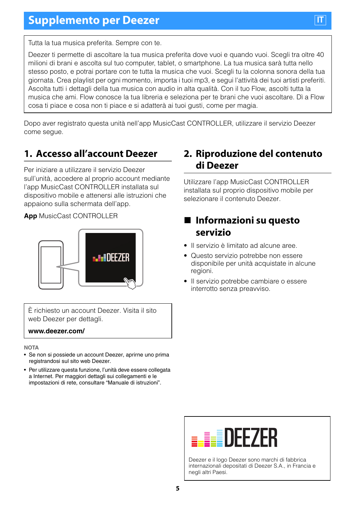Tutta la tua musica preferita. Sempre con te.

Deezer ti permette di ascoltare la tua musica preferita dove vuoi e quando vuoi. Scegli tra oltre 40 milioni di brani e ascolta sul tuo computer, tablet, o smartphone. La tua musica sarà tutta nello stesso posto, e potrai portare con te tutta la musica che vuoi. Scegli tu la colonna sonora della tua giornata. Crea playlist per ogni momento, importa i tuoi mp3, e segui l'attività dei tuoi artisti preferiti. Ascolta tutti i dettagli della tua musica con audio in alta qualità. Con il tuo Flow, ascolti tutta la musica che ami. Flow conosce la tua libreria e seleziona per te brani che vuoi ascoltare. Dì a Flow cosa ti piace e cosa non ti piace e si adatterà ai tuoi gusti, come per magia.

Dopo aver registrato questa unità nell'app MusicCast CONTROLLER, utilizzare il servizio Deezer come segue.

### **1. Accesso all'account Deezer**

Per iniziare a utilizzare il servizio Deezer sull'unità, accedere al proprio account mediante l'app MusicCast CONTROLLER installata sul dispositivo mobile e attenersi alle istruzioni che appaiono sulla schermata dell'app.

**App** MusicCast CONTROLLER



È richiesto un account Deezer. Visita il sito web Deezer per dettagli.

#### **www.deezer.com/**

**NOTA**

- Se non si possiede un account Deezer, aprirne uno prima registrandosi sul sito web Deezer.
- Per utilizzare questa funzione, l'unità deve essere collegata a Internet. Per maggiori dettagli sui collegamenti e le impostazioni di rete, consultare "Manuale di istruzioni".

### **2. Riproduzione del contenuto di Deezer**

Utilizzare l'app MusicCast CONTROLLER installata sul proprio dispositivo mobile per selezionare il contenuto Deezer.

## **Informazioni su questo servizio**

- Il servizio è limitato ad alcune aree.
- Questo servizio potrebbe non essere disponibile per unità acquistate in alcune regioni.
- Il servizio potrebbe cambiare o essere interrotto senza preavviso.



Deezer e il logo Deezer sono marchi di fabbrica internazionali depositati di Deezer S.A., in Francia e negli altri Paesi.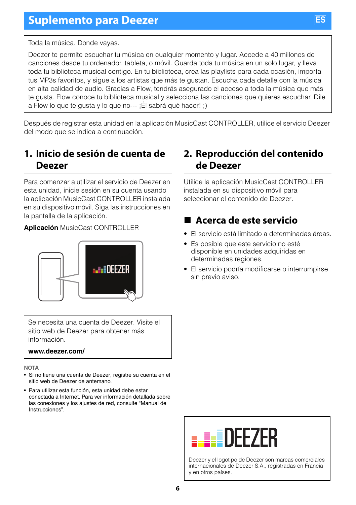Toda la música. Donde vayas.

Deezer te permite escuchar tu música en cualquier momento y lugar. Accede a 40 millones de canciones desde tu ordenador, tableta, o móvil. Guarda toda tu música en un solo lugar, y lleva toda tu biblioteca musical contigo. En tu biblioteca, crea las playlists para cada ocasión, importa tus MP3s favoritos, y sigue a los artistas que más te gustan. Escucha cada detalle con la música en alta calidad de audio. Gracias a Flow, tendrás asegurado el acceso a toda la música que más te gusta. Flow conoce tu biblioteca musical y selecciona las canciones que quieres escuchar. Dile a Flow lo que te gusta y lo que no--- ¡Él sabrá qué hacer! ;)

Después de registrar esta unidad en la aplicación MusicCast CONTROLLER, utilice el servicio Deezer del modo que se indica a continuación.

## **1. Inicio de sesión de cuenta de Deezer**

Para comenzar a utilizar el servicio de Deezer en esta unidad, inicie sesión en su cuenta usando la aplicación MusicCast CONTROLLER instalada en su dispositivo móvil. Siga las instrucciones en la pantalla de la aplicación.

#### **Aplicación** MusicCast CONTROLLER



Se necesita una cuenta de Deezer. Visite el sitio web de Deezer para obtener más información.

#### **www.deezer.com/**

**NOTA**

- Si no tiene una cuenta de Deezer, registre su cuenta en el sitio web de Deezer de antemano.
- Para utilizar esta función, esta unidad debe estar conectada a Internet. Para ver información detallada sobre las conexiones y los ajustes de red, consulte "Manual de Instrucciones".

### **2. Reproducción del contenido de Deezer**

Utilice la aplicación MusicCast CONTROLLER instalada en su dispositivo móvil para seleccionar el contenido de Deezer.

# **Acerca de este servicio**

- El servicio está limitado a determinadas áreas.
- Es posible que este servicio no esté disponible en unidades adquiridas en determinadas regiones.
- El servicio podría modificarse o interrumpirse sin previo aviso.



Deezer y el logotipo de Deezer son marcas comerciales internacionales de Deezer S.A., registradas en Francia y en otros países.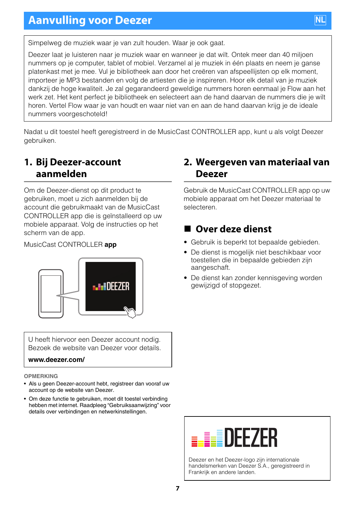

Simpelweg de muziek waar je van zult houden. Waar je ook gaat.

Deezer laat je luisteren naar je muziek waar en wanneer je dat wilt. Ontek meer dan 40 miljoen nummers op je computer, tablet of mobiel. Verzamel al je muziek in één plaats en neem je ganse platenkast met je mee. Vul je bibliotheek aan door het creëren van afspeellijsten op elk moment, importeer je MP3 bestanden en volg de artiesten die je inspireren. Hoor elk detail van je muziek dankzij de hoge kwaliteit. Je zal gegarandeerd geweldige nummers horen eenmaal je Flow aan het werk zet. Het kent perfect je bibliotheek en selecteert aan de hand daarvan de nummers die je wilt horen. Vertel Flow waar je van houdt en waar niet van en aan de hand daarvan krijg je de ideale nummers voorgeschoteld!

Nadat u dit toestel heeft geregistreerd in de MusicCast CONTROLLER app, kunt u als volgt Deezer gebruiken.

### **1. Bij Deezer-account aanmelden**

Om de Deezer-dienst op dit product te gebruiken, moet u zich aanmelden bij de account die gebruikmaakt van de MusicCast CONTROLLER app die is geïnstalleerd op uw mobiele apparaat. Volg de instructies op het scherm van de app.

MusicCast CONTROLLER **app**



U heeft hiervoor een Deezer account nodig. Bezoek de website van Deezer voor details.

#### **www.deezer.com/**

**OPMERKING**

- Als u geen Deezer-account hebt, registreer dan vooraf uw account op de website van Deezer.
- Om deze functie te gebruiken, moet dit toestel verbinding hebben met internet. Raadpleeg "Gebruiksaanwijzing" voor details over verbindingen en netwerkinstellingen.

### **2. Weergeven van materiaal van Deezer**

Gebruik de MusicCast CONTROLLER app op uw mobiele apparaat om het Deezer materiaal te selecteren.

### **Over deze dienst**

- Gebruik is beperkt tot bepaalde gebieden.
- De dienst is mogelijk niet beschikbaar voor toestellen die in bepaalde gebieden zijn aangeschaft.
- De dienst kan zonder kennisgeving worden gewijzigd of stopgezet.



Deezer en het Deezer-logo zijn internationale handelsmerken van Deezer S.A., geregistreerd in Frankrijk en andere landen.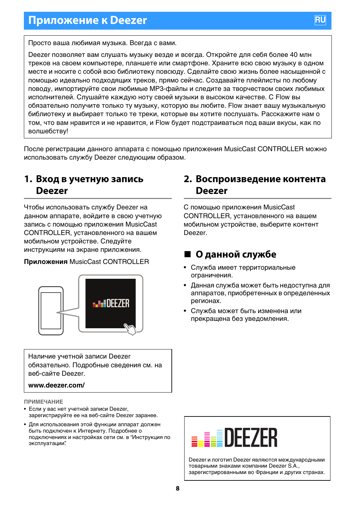Просто ваша любимая музыка. Всегда с вами.

Deezer позволяет вам слушать музыку везде и всегда. Откройте для себя более 40 млн треков на своем компьютере, планшете или смартфоне. Храните всю свою музыку в одном месте и носите с собой всю библиотеку повсюду. Сделайте свою жизнь более насыщенной с помощью идеально подходящих треков, прямо сейчас. Создавайте плейлисты по любому поводу, импортируйте свои любимые MP3-файлы и следите за творчеством своих любимых исполнителей. Слушайте каждую ноту своей музыки в высоком качестве. С Flow вы обязательно получите только ту музыку, которую вы любите. Flow знает вашу музыкальную библиотеку и выбирает только те треки, которые вы хотите послушать. Расскажите нам о том, что вам нравится и не нравится, и Flow будет подстраиваться под ваши вкусы, как по волшебству!

После регистрации данного аппарата с помощью приложения MusicCast CONTROLLER можно использовать службу Deezer следующим образом.

#### **1. Вход в учетную запись Deezer**

Чтобы использовать службу Deezer на данном аппарате, войдите в свою учетную запись с помощью приложения MusicCast CONTROLLER, установленного на вашем мобильном устройстве. Следуйте инструкциям на экране приложения.

#### **Приложения** MusicCast CONTROLLER



Наличие учетной записи Deezer обязательно. Подробные сведения см. на веб-сайте Deezer.

#### **www.deezer.com/**

**ПРИМЕЧАНИЕ**

- Если у вас нет учетной записи Deezer, зарегистрируйте ее на веб-сайте Deezer заранее.
- Для использования этой функции аппарат должен быть подключен к Интернету. Подробнее о подключениях и настройках сети см. в "Инструкция по эксплуатации".

#### **2. Воспроизведение контента Deezer**

С помощью приложения MusicCast CONTROLLER, установленного на вашем мобильном устройстве, выберите контент Deezer.

### **О данной службе**

- Служба имеет территориальные ограничения.
- Данная служба может быть недоступна для аппаратов, приобретенных в определенных регионах.
- Служба может быть изменена или прекращена без уведомления.



Deezer и логотип Deezer являются международными товарными знаками компании Deezer S.A., зарегистрированными во Франции и других странах.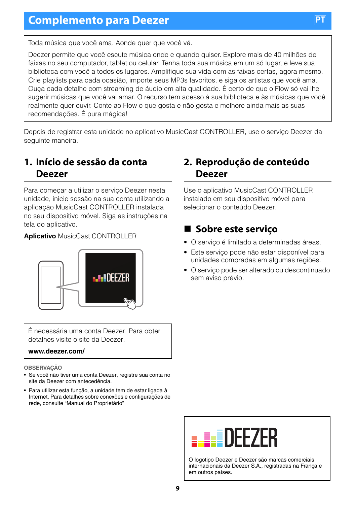Toda música que você ama. Aonde quer que você vá.

Deezer permite que você escute música onde e quando quiser. Explore mais de 40 milhões de faixas no seu computador, tablet ou celular. Tenha toda sua música em um só lugar, e leve sua biblioteca com você a todos os lugares. Amplifique sua vida com as faixas certas, agora mesmo. Crie playlists para cada ocasião, importe seus MP3s favoritos, e siga os artistas que você ama. Ouça cada detalhe com streaming de áudio em alta qualidade. É certo de que o Flow só vai lhe sugerir músicas que você vai amar. O recurso tem acesso à sua biblioteca e às músicas que você realmente quer ouvir. Conte ao Flow o que gosta e não gosta e melhore ainda mais as suas recomendações. É pura mágica!

Depois de registrar esta unidade no aplicativo MusicCast CONTROLLER, use o serviço Deezer da seguinte maneira.

### **1. Início de sessão da conta Deezer**

Para começar a utilizar o serviço Deezer nesta unidade, inicie sessão na sua conta utilizando a aplicação MusicCast CONTROLLER instalada no seu dispositivo móvel. Siga as instruções na tela do aplicativo.

#### **Aplicativo** MusicCast CONTROLLER



É necessária uma conta Deezer. Para obter detalhes visite o site da Deezer.

#### **www.deezer.com/**

**OBSERVAÇÃO**

- Se você não tiver uma conta Deezer, registre sua conta no site da Deezer com antecedência.
- Para utilizar esta função, a unidade tem de estar ligada à Internet. Para detalhes sobre conexões e configurações de rede, consulte "Manual do Proprietário"

### **2. Reprodução de conteúdo Deezer**

Use o aplicativo MusicCast CONTROLLER instalado em seu dispositivo móvel para selecionar o conteúdo Deezer.

# **Sobre este serviço**

- O serviço é limitado a determinadas áreas.
- Este serviço pode não estar disponível para unidades compradas em algumas regiões.
- O serviço pode ser alterado ou descontinuado sem aviso prévio.



O logotipo Deezer e Deezer são marcas comerciais internacionais da Deezer S.A., registradas na França e em outros países.